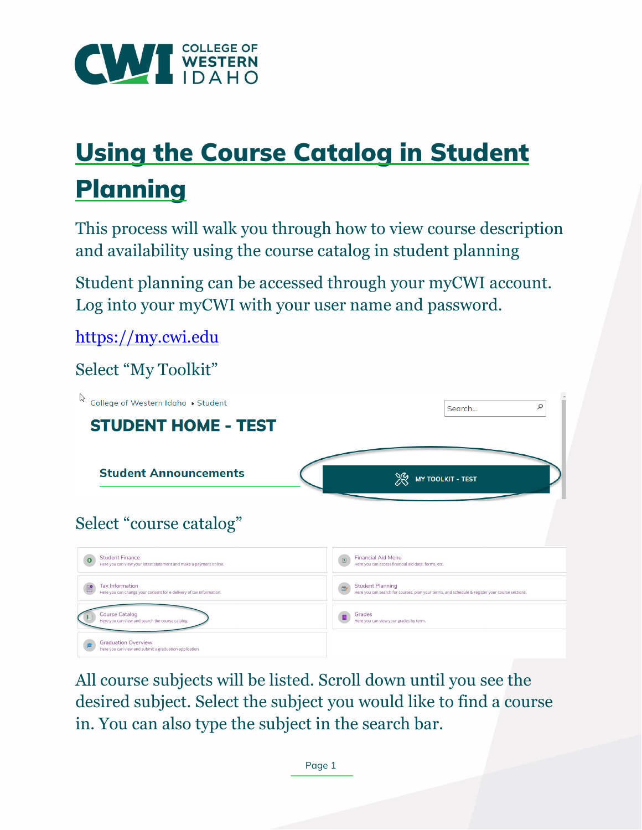

## Using the Course Catalog in Student **Planning**

This process will walk you through how to view course description and availability using the course catalog in student planning

Student planning can be accessed through your myCWI account. Log into your myCWI with your user name and password.

[https://my.cwi.edu](https://my.cwi.edu/) 

Select "My Toolkit"



All course subjects will be listed. Scroll down until you see the desired subject. Select the subject you would like to find a course in. You can also type the subject in the search bar.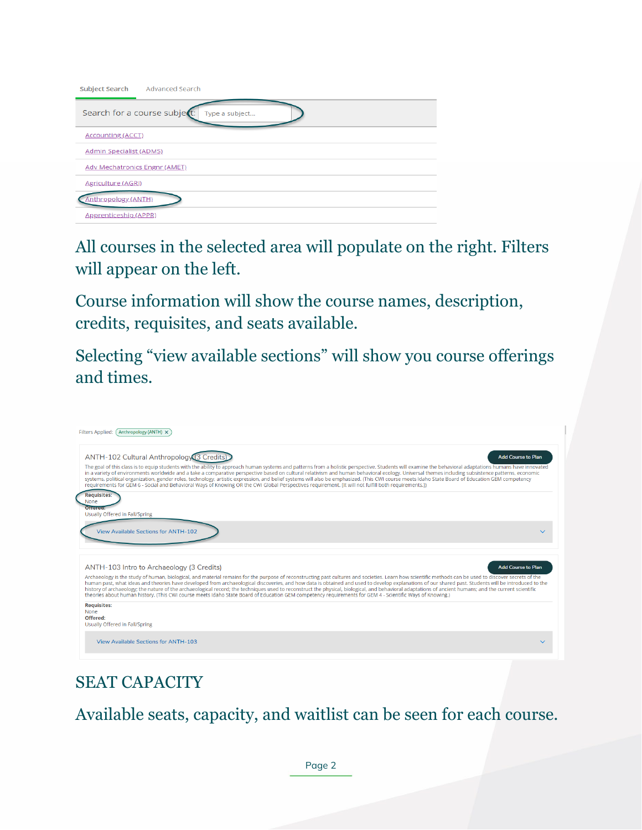| Subject Search Advanced Search                 |  |  |  |
|------------------------------------------------|--|--|--|
| Search for a course subject:<br>Type a subject |  |  |  |
| <b>Accounting (ACCT)</b>                       |  |  |  |
| <b>Admin Specialist (ADMS)</b>                 |  |  |  |
| <b>Adv Mechatronics Engnr (AMET)</b>           |  |  |  |
| <b>Agriculture (AGRI)</b>                      |  |  |  |
| nthropology (ANTH)                             |  |  |  |
| Apprenticeship (APPR)                          |  |  |  |

All courses in the selected area will populate on the right. Filters will appear on the left.

Course information will show the course names, description, credits, requisites, and seats available.

Selecting "view available sections" will show you course offerings and times.



## SEAT CAPACITY

Available seats, capacity, and waitlist can be seen for each course.

Page 2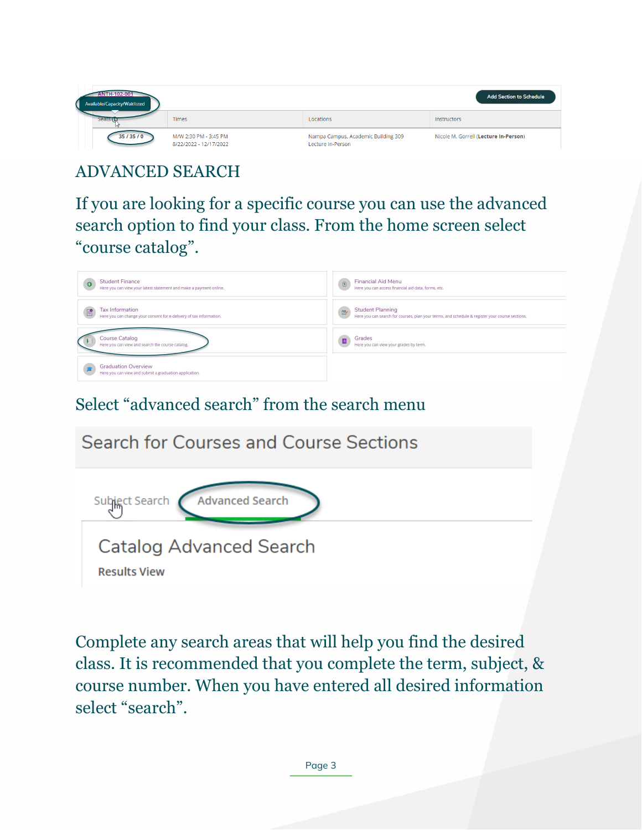| ANTH-102-001<br>Available/Capacity/Waitlisted | <b>Add Section to Schedule</b>                  |                                                          |                                       |
|-----------------------------------------------|-------------------------------------------------|----------------------------------------------------------|---------------------------------------|
| <b>Seats G</b>                                | Times                                           | Locations                                                | Instructors                           |
| 35/35/0                                       | M/W 2:30 PM - 3:45 PM<br>8/22/2022 - 12/17/2022 | Nampa Campus, Academic Building 309<br>Lecture In-Person | Nicole M. Gorrell (Lecture In-Person) |

ADVANCED SEARCH

If you are looking for a specific course you can use the advanced search option to find your class. From the home screen select "course catalog".

| <b>Student Finance</b><br>Here you can view your latest statement and make a payment online.  | <b>Financial Aid Menu</b><br>$\boxed{\underline{\textbf{S}}}$<br>Here you can access financial aid data, forms, etc.                       |
|-----------------------------------------------------------------------------------------------|--------------------------------------------------------------------------------------------------------------------------------------------|
| <b>Tax Information</b><br>Here you can change your consent for e-delivery of tax information. | <b>Student Planning</b><br>$\mathbb{D}$<br>Here you can search for courses, plan your terms, and schedule & register your course sections. |
| <b>Course Catalog</b><br>Here you can view and search the course catalog.                     | Grades<br>Here you can view your grades by term.                                                                                           |
| <b>Graduation Overview</b><br>Here you can view and submit a graduation application.          |                                                                                                                                            |

Select "advanced search" from the search menu



Complete any search areas that will help you find the desired class. It is recommended that you complete the term, subject, & course number. When you have entered all desired information select "search".